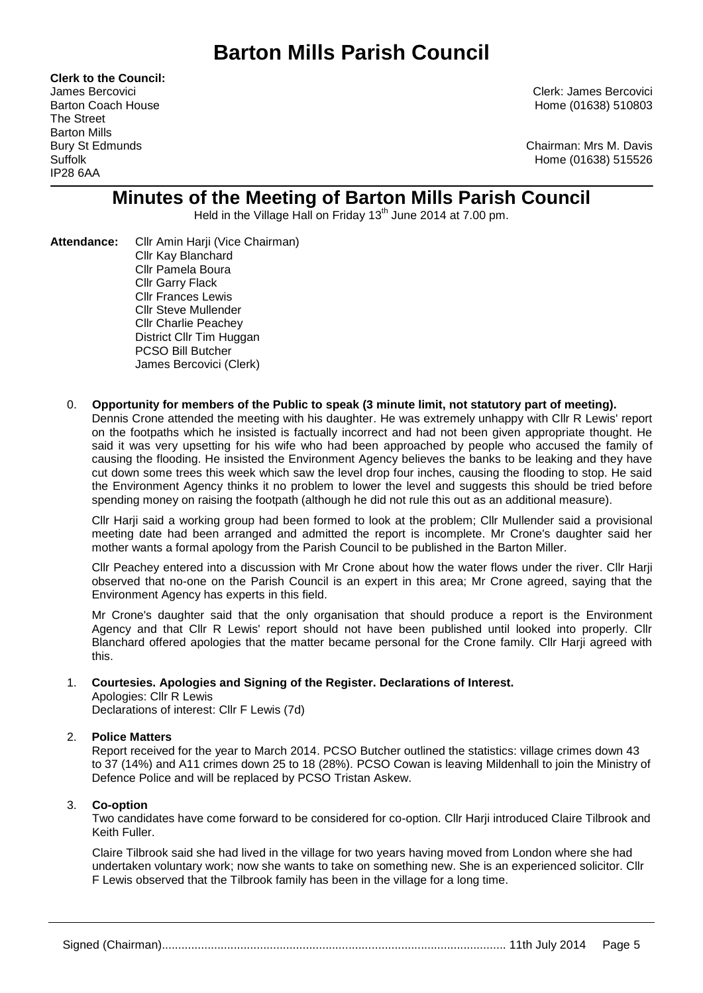**Clerk to the Council:** The Street Barton Mills IP28 6AA

James Bercovici Clerk: James Bercovici Barton Coach House **Home (01638)** 510803

Bury St Edmunds Chairman: Mrs M. Davis Suffolk Home (01638) 515526

# **Minutes of the Meeting of Barton Mills Parish Council**

Held in the Village Hall on Friday 13<sup>th</sup> June 2014 at 7.00 pm.

- Attendance: Cllr Amin Harii (Vice Chairman) Cllr Kay Blanchard Cllr Pamela Boura Cllr Garry Flack Cllr Frances Lewis Cllr Steve Mullender Cllr Charlie Peachey District Cllr Tim Huggan PCSO Bill Butcher James Bercovici (Clerk)
	- 0. **Opportunity for members of the Public to speak (3 minute limit, not statutory part of meeting).**

Dennis Crone attended the meeting with his daughter. He was extremely unhappy with Cllr R Lewis' report on the footpaths which he insisted is factually incorrect and had not been given appropriate thought. He said it was very upsetting for his wife who had been approached by people who accused the family of causing the flooding. He insisted the Environment Agency believes the banks to be leaking and they have cut down some trees this week which saw the level drop four inches, causing the flooding to stop. He said the Environment Agency thinks it no problem to lower the level and suggests this should be tried before spending money on raising the footpath (although he did not rule this out as an additional measure).

Cllr Harji said a working group had been formed to look at the problem; Cllr Mullender said a provisional meeting date had been arranged and admitted the report is incomplete. Mr Crone's daughter said her mother wants a formal apology from the Parish Council to be published in the Barton Miller.

Cllr Peachey entered into a discussion with Mr Crone about how the water flows under the river. Cllr Harji observed that no-one on the Parish Council is an expert in this area; Mr Crone agreed, saying that the Environment Agency has experts in this field.

Mr Crone's daughter said that the only organisation that should produce a report is the Environment Agency and that Cllr R Lewis' report should not have been published until looked into properly. Cllr Blanchard offered apologies that the matter became personal for the Crone family. Cllr Harji agreed with this.

## 1. **Courtesies. Apologies and Signing of the Register. Declarations of Interest.**

Apologies: Cllr R Lewis

Declarations of interest: Cllr F Lewis (7d)

## 2. **Police Matters**

Report received for the year to March 2014. PCSO Butcher outlined the statistics: village crimes down 43 to 37 (14%) and A11 crimes down 25 to 18 (28%). PCSO Cowan is leaving Mildenhall to join the Ministry of Defence Police and will be replaced by PCSO Tristan Askew.

## 3. **Co-option**

Two candidates have come forward to be considered for co-option. Cllr Harji introduced Claire Tilbrook and Keith Fuller.

Claire Tilbrook said she had lived in the village for two years having moved from London where she had undertaken voluntary work; now she wants to take on something new. She is an experienced solicitor. Cllr F Lewis observed that the Tilbrook family has been in the village for a long time.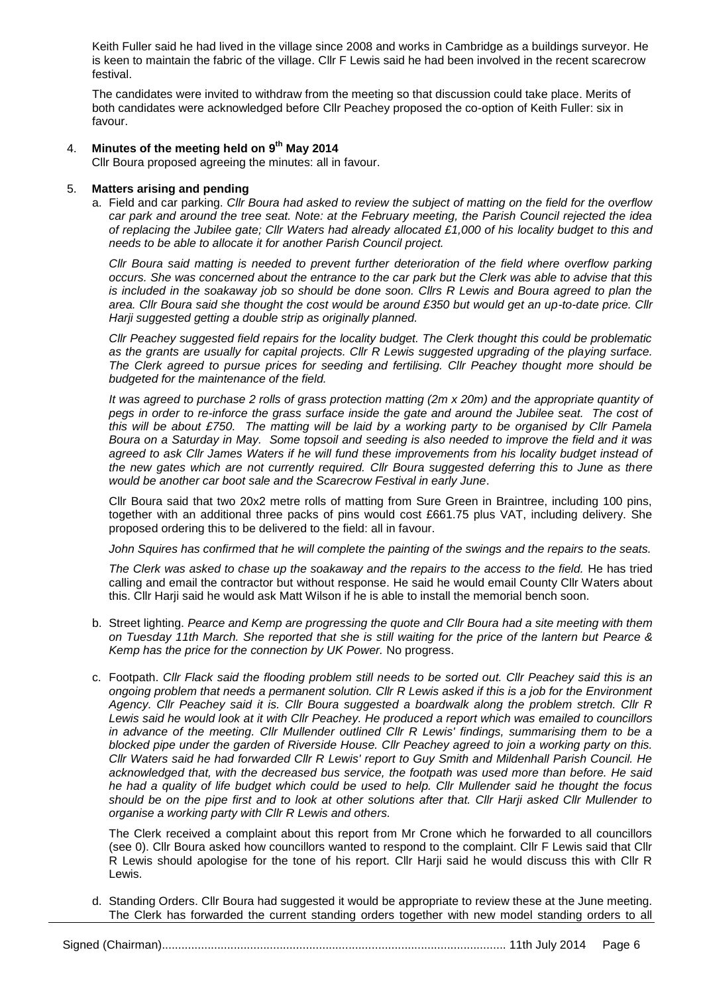Keith Fuller said he had lived in the village since 2008 and works in Cambridge as a buildings surveyor. He is keen to maintain the fabric of the village. Cllr F Lewis said he had been involved in the recent scarecrow festival.

The candidates were invited to withdraw from the meeting so that discussion could take place. Merits of both candidates were acknowledged before Cllr Peachey proposed the co-option of Keith Fuller: six in favour.

## 4. **Minutes of the meeting held on 9 th May 2014**

Cllr Boura proposed agreeing the minutes: all in favour.

#### 5. **Matters arising and pending**

a. Field and car parking. *Cllr Boura had asked to review the subject of matting on the field for the overflow car park and around the tree seat. Note: at the February meeting, the Parish Council rejected the idea of replacing the Jubilee gate; Cllr Waters had already allocated £1,000 of his locality budget to this and needs to be able to allocate it for another Parish Council project.*

*Cllr Boura said matting is needed to prevent further deterioration of the field where overflow parking occurs. She was concerned about the entrance to the car park but the Clerk was able to advise that this is included in the soakaway job so should be done soon. Cllrs R Lewis and Boura agreed to plan the area. Cllr Boura said she thought the cost would be around £350 but would get an up-to-date price. Cllr Harji suggested getting a double strip as originally planned.*

*Cllr Peachey suggested field repairs for the locality budget. The Clerk thought this could be problematic as the grants are usually for capital projects. Cllr R Lewis suggested upgrading of the playing surface. The Clerk agreed to pursue prices for seeding and fertilising. Cllr Peachey thought more should be budgeted for the maintenance of the field.*

*It was agreed to purchase 2 rolls of grass protection matting (2m x 20m) and the appropriate quantity of pegs in order to re-inforce the grass surface inside the gate and around the Jubilee seat. The cost of this will be about £750. The matting will be laid by a working party to be organised by Cllr Pamela Boura on a Saturday in May. Some topsoil and seeding is also needed to improve the field and it was agreed to ask Cllr James Waters if he will fund these improvements from his locality budget instead of*  the new gates which are not currently required. Cllr Boura suggested deferring this to June as there *would be another car boot sale and the Scarecrow Festival in early June*.

Cllr Boura said that two 20x2 metre rolls of matting from Sure Green in Braintree, including 100 pins, together with an additional three packs of pins would cost £661.75 plus VAT, including delivery. She proposed ordering this to be delivered to the field: all in favour.

*John Squires has confirmed that he will complete the painting of the swings and the repairs to the seats.* 

*The Clerk was asked to chase up the soakaway and the repairs to the access to the field.* He has tried calling and email the contractor but without response. He said he would email County Cllr Waters about this. Cllr Harji said he would ask Matt Wilson if he is able to install the memorial bench soon.

- b. Street lighting. *Pearce and Kemp are progressing the quote and Cllr Boura had a site meeting with them on Tuesday 11th March. She reported that she is still waiting for the price of the lantern but Pearce & Kemp has the price for the connection by UK Power.* No progress.
- c. Footpath. *Cllr Flack said the flooding problem still needs to be sorted out. Cllr Peachey said this is an ongoing problem that needs a permanent solution. Cllr R Lewis asked if this is a job for the Environment Agency. Cllr Peachey said it is. Cllr Boura suggested a boardwalk along the problem stretch. Cllr R Lewis said he would look at it with Cllr Peachey. He produced a report which was emailed to councillors in advance of the meeting. Cllr Mullender outlined Cllr R Lewis' findings, summarising them to be a blocked pipe under the garden of Riverside House. Cllr Peachey agreed to join a working party on this. Cllr Waters said he had forwarded Cllr R Lewis' report to Guy Smith and Mildenhall Parish Council. He acknowledged that, with the decreased bus service, the footpath was used more than before. He said he had a quality of life budget which could be used to help. Cllr Mullender said he thought the focus should be on the pipe first and to look at other solutions after that. Cllr Harji asked Cllr Mullender to organise a working party with Cllr R Lewis and others.*

The Clerk received a complaint about this report from Mr Crone which he forwarded to all councillors (see 0). Cllr Boura asked how councillors wanted to respond to the complaint. Cllr F Lewis said that Cllr R Lewis should apologise for the tone of his report. Cllr Harji said he would discuss this with Cllr R Lewis.

d. Standing Orders. Cllr Boura had suggested it would be appropriate to review these at the June meeting. The Clerk has forwarded the current standing orders together with new model standing orders to all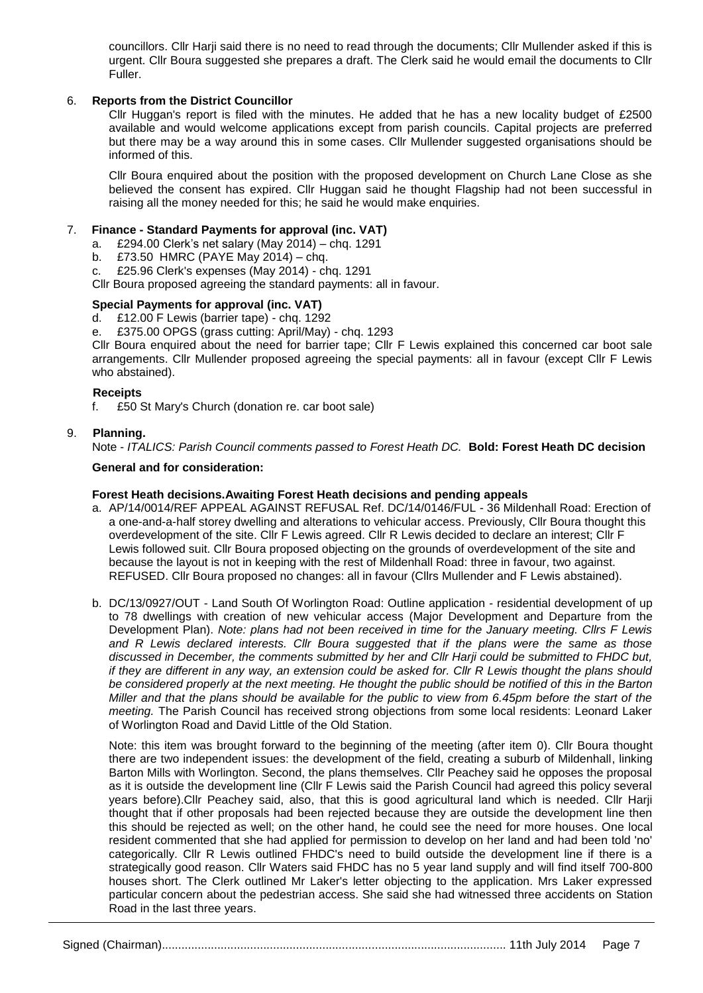councillors. Cllr Harji said there is no need to read through the documents; Cllr Mullender asked if this is urgent. Cllr Boura suggested she prepares a draft. The Clerk said he would email the documents to Cllr Fuller.

### 6. **Reports from the District Councillor**

Cllr Huggan's report is filed with the minutes. He added that he has a new locality budget of £2500 available and would welcome applications except from parish councils. Capital projects are preferred but there may be a way around this in some cases. Cllr Mullender suggested organisations should be informed of this.

Cllr Boura enquired about the position with the proposed development on Church Lane Close as she believed the consent has expired. Cllr Huggan said he thought Flagship had not been successful in raising all the money needed for this; he said he would make enquiries.

#### 7. **Finance - Standard Payments for approval (inc. VAT)**

a. £294.00 Clerk's net salary (May 2014) – chq. 1291

b. £73.50 HMRC (PAYE May 2014) – chq.<br>c. £25.96 Clerk's expenses (May 2014) - ch

£25.96 Clerk's expenses (May 2014) - chq. 1291

Cllr Boura proposed agreeing the standard payments: all in favour.

#### **Special Payments for approval (inc. VAT)**

d. £12.00 F Lewis (barrier tape) - chq. 1292

e. £375.00 OPGS (grass cutting: April/May) - chq. 1293

Cllr Boura enquired about the need for barrier tape; Cllr F Lewis explained this concerned car boot sale arrangements. Cllr Mullender proposed agreeing the special payments: all in favour (except Cllr F Lewis who abstained).

#### **Receipts**

f. £50 St Mary's Church (donation re. car boot sale)

#### 9. **Planning.**

Note - *ITALICS: Parish Council comments passed to Forest Heath DC.* **Bold: Forest Heath DC decision**

#### **General and for consideration:**

#### **Forest Heath decisions.Awaiting Forest Heath decisions and pending appeals**

- a. AP/14/0014/REF APPEAL AGAINST REFUSAL Ref. DC/14/0146/FUL 36 Mildenhall Road: Erection of a one-and-a-half storey dwelling and alterations to vehicular access. Previously, Cllr Boura thought this overdevelopment of the site. Cllr F Lewis agreed. Cllr R Lewis decided to declare an interest; Cllr F Lewis followed suit. Cllr Boura proposed objecting on the grounds of overdevelopment of the site and because the layout is not in keeping with the rest of Mildenhall Road: three in favour, two against. REFUSED. Cllr Boura proposed no changes: all in favour (Cllrs Mullender and F Lewis abstained).
- b. DC/13/0927/OUT Land South Of Worlington Road: Outline application residential development of up to 78 dwellings with creation of new vehicular access (Major Development and Departure from the Development Plan). *Note: plans had not been received in time for the January meeting. Cllrs F Lewis and R Lewis declared interests. Cllr Boura suggested that if the plans were the same as those discussed in December, the comments submitted by her and Cllr Harji could be submitted to FHDC but, if they are different in any way, an extension could be asked for. Cllr R Lewis thought the plans should be considered properly at the next meeting. He thought the public should be notified of this in the Barton Miller and that the plans should be available for the public to view from 6.45pm before the start of the meeting.* The Parish Council has received strong objections from some local residents: Leonard Laker of Worlington Road and David Little of the Old Station.

Note: this item was brought forward to the beginning of the meeting (after item 0). Cllr Boura thought there are two independent issues: the development of the field, creating a suburb of Mildenhall, linking Barton Mills with Worlington. Second, the plans themselves. Cllr Peachey said he opposes the proposal as it is outside the development line (Cllr F Lewis said the Parish Council had agreed this policy several years before).Cllr Peachey said, also, that this is good agricultural land which is needed. Cllr Harji thought that if other proposals had been rejected because they are outside the development line then this should be rejected as well; on the other hand, he could see the need for more houses. One local resident commented that she had applied for permission to develop on her land and had been told 'no' categorically. Cllr R Lewis outlined FHDC's need to build outside the development line if there is a strategically good reason. Cllr Waters said FHDC has no 5 year land supply and will find itself 700-800 houses short. The Clerk outlined Mr Laker's letter objecting to the application. Mrs Laker expressed particular concern about the pedestrian access. She said she had witnessed three accidents on Station Road in the last three years.